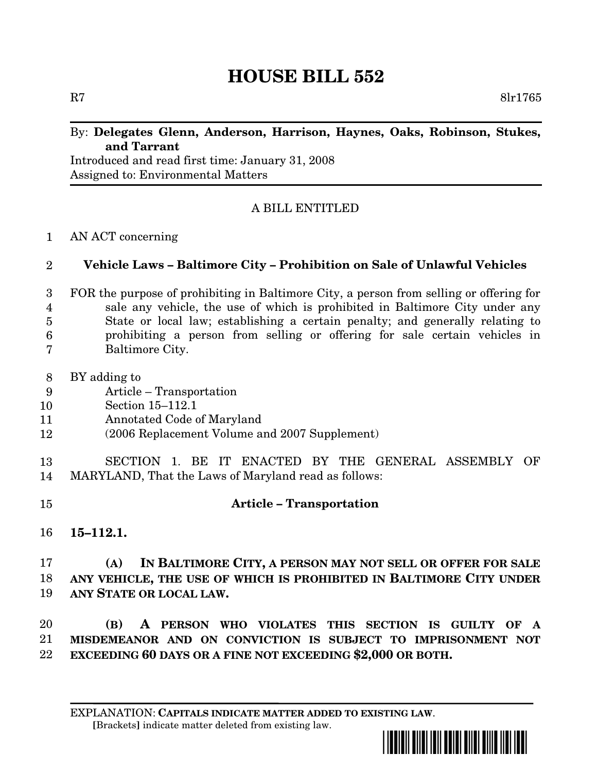# **HOUSE BILL 552**

R7 8lr1765

## By: **Delegates Glenn, Anderson, Harrison, Haynes, Oaks, Robinson, Stukes, and Tarrant**

Introduced and read first time: January 31, 2008 Assigned to: Environmental Matters

# A BILL ENTITLED

#### AN ACT concerning 1

#### **Vehicle Laws – Baltimore City – Prohibition on Sale of Unlawful Vehicles**  $\mathfrak{D}$

- FOR the purpose of prohibiting in Baltimore City, a person from selling or offering for sale any vehicle, the use of which is prohibited in Baltimore City under any State or local law; establishing a certain penalty; and generally relating to prohibiting a person from selling or offering for sale certain vehicles in Baltimore City. 3 4 5 6 7
- BY adding to 8
- Article Transportation 9
- Section 15–112.1 10
- Annotated Code of Maryland 11
- (2006 Replacement Volume and 2007 Supplement) 12
- SECTION 1. BE IT ENACTED BY THE GENERAL ASSEMBLY OF MARYLAND, That the Laws of Maryland read as follows: 13 14
- **Article – Transportation** 15
- **15–112.1.** 16

#### **(A) IN BALTIMORE CITY, A PERSON MAY NOT SELL OR OFFER FOR SALE ANY VEHICLE, THE USE OF WHICH IS PROHIBITED IN BALTIMORE CITY UNDER ANY STATE OR LOCAL LAW.** 17 18 19

**(B) A PERSON WHO VIOLATES THIS SECTION IS GUILTY OF A MISDEMEANOR AND ON CONVICTION IS SUBJECT TO IMPRISONMENT NOT EXCEEDING 60 DAYS OR A FINE NOT EXCEEDING \$2,000 OR BOTH.** 20 21 22

EXPLANATION: **CAPITALS INDICATE MATTER ADDED TO EXISTING LAW**. **[**Brackets**]** indicate matter deleted from existing law.